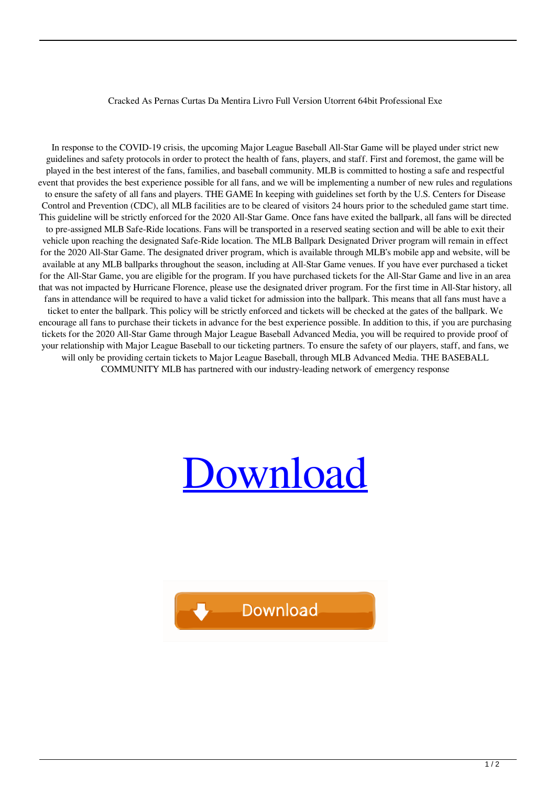## Cracked As Pernas Curtas Da Mentira Livro Full Version Utorrent 64bit Professional Exe

In response to the COVID-19 crisis, the upcoming Major League Baseball All-Star Game will be played under strict new guidelines and safety protocols in order to protect the health of fans, players, and staff. First and foremost, the game will be played in the best interest of the fans, families, and baseball community. MLB is committed to hosting a safe and respectful event that provides the best experience possible for all fans, and we will be implementing a number of new rules and regulations to ensure the safety of all fans and players. THE GAME In keeping with guidelines set forth by the U.S. Centers for Disease Control and Prevention (CDC), all MLB facilities are to be cleared of visitors 24 hours prior to the scheduled game start time. This guideline will be strictly enforced for the 2020 All-Star Game. Once fans have exited the ballpark, all fans will be directed to pre-assigned MLB Safe-Ride locations. Fans will be transported in a reserved seating section and will be able to exit their vehicle upon reaching the designated Safe-Ride location. The MLB Ballpark Designated Driver program will remain in effect for the 2020 All-Star Game. The designated driver program, which is available through MLB's mobile app and website, will be available at any MLB ballparks throughout the season, including at All-Star Game venues. If you have ever purchased a ticket for the All-Star Game, you are eligible for the program. If you have purchased tickets for the All-Star Game and live in an area that was not impacted by Hurricane Florence, please use the designated driver program. For the first time in All-Star history, all fans in attendance will be required to have a valid ticket for admission into the ballpark. This means that all fans must have a ticket to enter the ballpark. This policy will be strictly enforced and tickets will be checked at the gates of the ballpark. We encourage all fans to purchase their tickets in advance for the best experience possible. In addition to this, if you are purchasing tickets for the 2020 All-Star Game through Major League Baseball Advanced Media, you will be required to provide proof of your relationship with Major League Baseball to our ticketing partners. To ensure the safety of our players, staff, and fans, we will only be providing certain tickets to Major League Baseball, through MLB Advanced Media. THE BASEBALL COMMUNITY MLB has partnered with our industry-leading network of emergency response

## **Ownload**